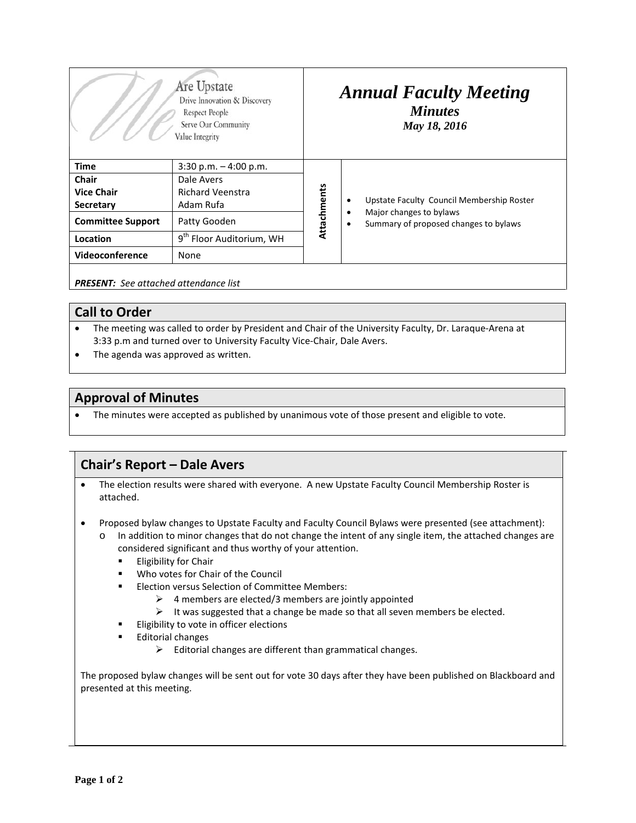| Are Upstate<br>Drive Innovation & Discovery<br>Respect People<br>Serve Our Community<br>Value Integrity |                                      | <b>Annual Faculty Meeting</b><br><b>Minutes</b><br>May 18, 2016 |                                                                       |
|---------------------------------------------------------------------------------------------------------|--------------------------------------|-----------------------------------------------------------------|-----------------------------------------------------------------------|
| <b>Time</b>                                                                                             | $3:30$ p.m. $-4:00$ p.m.             | Attachments                                                     |                                                                       |
| Chair                                                                                                   | Dale Avers                           |                                                                 |                                                                       |
| <b>Vice Chair</b>                                                                                       | <b>Richard Veenstra</b>              |                                                                 |                                                                       |
| Secretary                                                                                               | Adam Rufa                            |                                                                 | Upstate Faculty Council Membership Roster<br>٠                        |
| <b>Committee Support</b>                                                                                | Patty Gooden                         |                                                                 | Major changes to bylaws<br>Summary of proposed changes to bylaws<br>٠ |
| Location                                                                                                | 9 <sup>th</sup> Floor Auditorium, WH |                                                                 |                                                                       |
| Videoconference                                                                                         | None                                 |                                                                 |                                                                       |
|                                                                                                         |                                      |                                                                 |                                                                       |

*PRESENT: See attached attendance list*

## **Call to Order**

- The meeting was called to order by President and Chair of the University Faculty, Dr. Laraque-Arena at 3:33 p.m and turned over to University Faculty Vice-Chair, Dale Avers.
- The agenda was approved as written.

## **Approval of Minutes**

• The minutes were accepted as published by unanimous vote of those present and eligible to vote.

## **Chair's Report – Dale Avers**

- The election results were shared with everyone. A new Upstate Faculty Council Membership Roster is attached.
- Proposed bylaw changes to Upstate Faculty and Faculty Council Bylaws were presented (see attachment):
	- o In addition to minor changes that do not change the intent of any single item, the attached changes are considered significant and thus worthy of your attention.
		- **Eligibility for Chair**
		- Who votes for Chair of the Council
		- **Election versus Selection of Committee Members:** 
			- $\triangleright$  4 members are elected/3 members are jointly appointed
			- $\triangleright$  It was suggested that a change be made so that all seven members be elected.
		- Eligibility to vote in officer elections
		- Editorial changes
			- $\triangleright$  Editorial changes are different than grammatical changes.

The proposed bylaw changes will be sent out for vote 30 days after they have been published on Blackboard and presented at this meeting.